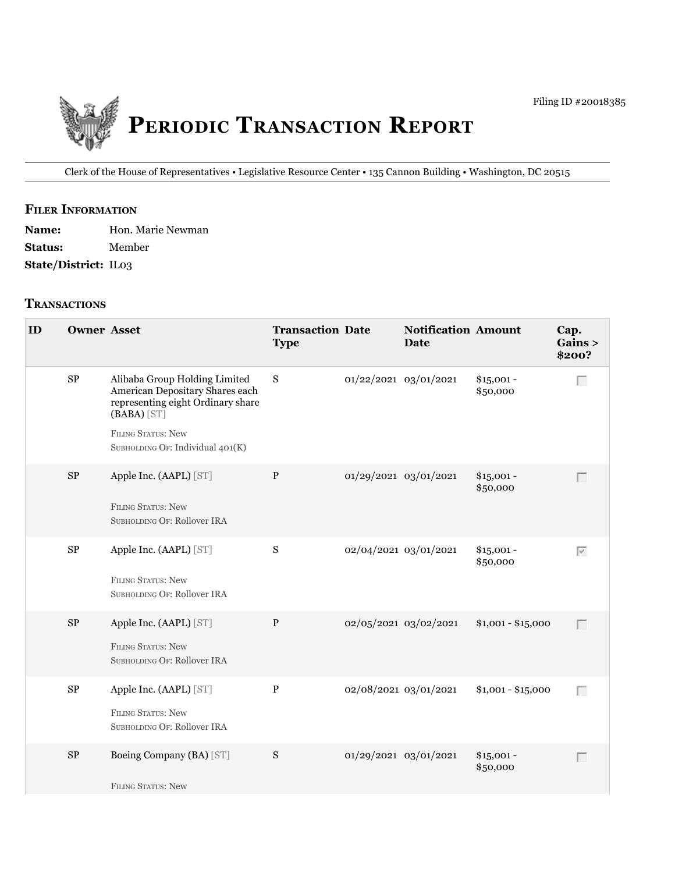

Clerk of the House of Representatives • legislative Resource Center • 135 Cannon building • Washington, DC 20515

# **fIler INfOrmATION**

| <b>Name:</b>                | Hon. Marie Newman |
|-----------------------------|-------------------|
| <b>Status:</b>              | Member            |
| <b>State/District: IL03</b> |                   |

#### **TrANSACTIONS**

| ID | <b>Owner Asset</b> |                                                                                                                                                                                         | <b>Transaction Date</b><br><b>Type</b> |                       | <b>Notification Amount</b><br><b>Date</b> |                         | Cap.<br>Gains ><br>\$200? |
|----|--------------------|-----------------------------------------------------------------------------------------------------------------------------------------------------------------------------------------|----------------------------------------|-----------------------|-------------------------------------------|-------------------------|---------------------------|
|    | $\rm SP$           | Alibaba Group Holding Limited<br>American Depositary Shares each<br>representing eight Ordinary share<br>$(BABA)$ [ST]<br><b>FILING STATUS: New</b><br>SUBHOLDING OF: Individual 401(K) | ${\bf S}$                              | 01/22/2021 03/01/2021 |                                           | $$15,001 -$<br>\$50,000 | Г                         |
|    | $\rm SP$           | Apple Inc. (AAPL) [ST]<br><b>FILING STATUS: New</b><br>SUBHOLDING OF: Rollover IRA                                                                                                      | $\, {\bf P}$                           | 01/29/2021 03/01/2021 |                                           | $$15,001 -$<br>\$50,000 | Г                         |
|    | $\rm SP$           | Apple Inc. (AAPL) [ST]<br><b>FILING STATUS: New</b><br>SUBHOLDING OF: Rollover IRA                                                                                                      | ${\bf S}$                              | 02/04/2021 03/01/2021 |                                           | $$15,001 -$<br>\$50,000 | $\overline{\vee}$         |
|    | $\rm SP$           | Apple Inc. (AAPL) [ST]<br><b>FILING STATUS: New</b><br>SUBHOLDING OF: Rollover IRA                                                                                                      | $\, {\bf P}$                           |                       | 02/05/2021 03/02/2021                     | $$1,001 - $15,000$      | $\Box$                    |
|    | $\rm SP$           | Apple Inc. (AAPL) [ST]<br><b>FILING STATUS: New</b><br>SUBHOLDING OF: Rollover IRA                                                                                                      | $\, {\bf P}$                           | 02/08/2021 03/01/2021 |                                           | $$1,001 - $15,000$      | Г                         |
|    | $\rm SP$           | Boeing Company (BA) [ST]<br><b>FILING STATUS: New</b>                                                                                                                                   | S                                      | 01/29/2021 03/01/2021 |                                           | $$15,001 -$<br>\$50,000 | $\Box$                    |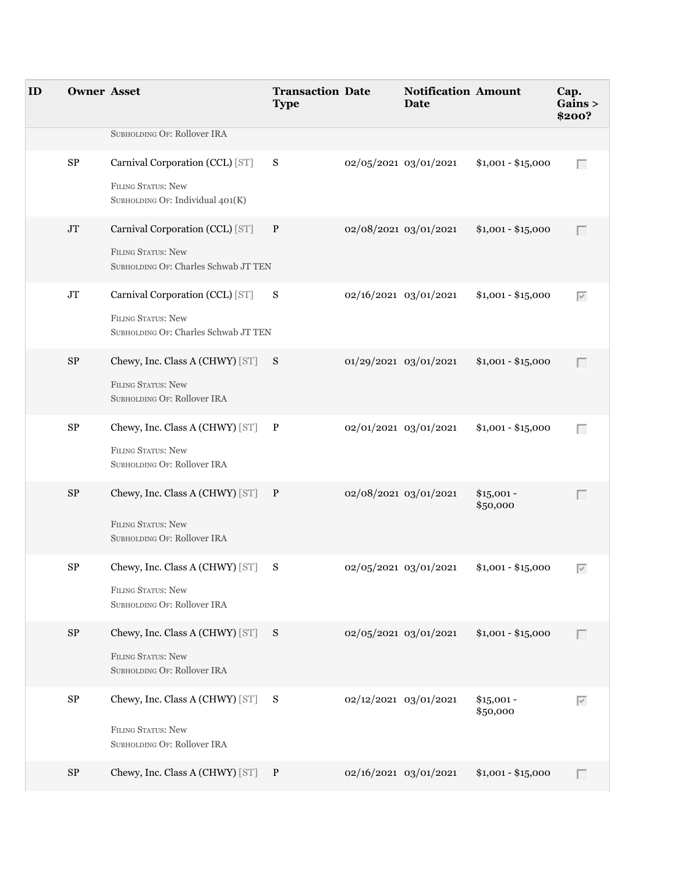| ID | <b>Owner Asset</b> |                                                                                                  | <b>Transaction Date</b><br><b>Type</b> |                       | <b>Notification Amount</b><br>Date |                         | Cap.<br>Gains ><br>\$200? |
|----|--------------------|--------------------------------------------------------------------------------------------------|----------------------------------------|-----------------------|------------------------------------|-------------------------|---------------------------|
|    |                    | SUBHOLDING OF: Rollover IRA                                                                      |                                        |                       |                                    |                         |                           |
|    | ${\rm SP}$         | Carnival Corporation (CCL) [ST]<br><b>FILING STATUS: New</b><br>SUBHOLDING OF: Individual 401(K) | S                                      | 02/05/2021 03/01/2021 |                                    | $$1,001 - $15,000$      | Г                         |
|    | $\rm JT$           | Carnival Corporation (CCL) [ST]<br>FILING STATUS: New<br>SUBHOLDING OF: Charles Schwab JT TEN    | $\mathbf{P}$                           | 02/08/2021 03/01/2021 |                                    | $$1,001 - $15,000$      | Г                         |
|    | $\rm JT$           | Carnival Corporation (CCL) [ST]<br>FILING STATUS: New<br>SUBHOLDING OF: Charles Schwab JT TEN    | S                                      | 02/16/2021 03/01/2021 |                                    | $$1,001 - $15,000$      | $\overline{\vee}$         |
|    | $\rm SP$           | Chewy, Inc. Class A (CHWY) [ST] S<br>FILING STATUS: New<br>SUBHOLDING OF: Rollover IRA           |                                        | 01/29/2021 03/01/2021 |                                    | $$1,001 - $15,000$      | Г                         |
|    | ${\rm SP}$         | Chewy, Inc. Class A (CHWY) [ST] P<br>FILING STATUS: New<br>SUBHOLDING OF: Rollover IRA           |                                        | 02/01/2021 03/01/2021 |                                    | $$1,001 - $15,000$      | Г                         |
|    | $\rm SP$           | Chewy, Inc. Class A (CHWY) [ST] P<br><b>FILING STATUS: New</b><br>SUBHOLDING OF: Rollover IRA    |                                        | 02/08/2021 03/01/2021 |                                    | $$15,001 -$<br>\$50,000 | Г                         |
|    | ${\rm SP}$         | Chewy, Inc. Class A (CHWY) [ST]<br><b>FILING STATUS: New</b><br>SUBHOLDING OF: Rollover IRA      | S                                      | 02/05/2021 03/01/2021 |                                    | $$1,001 - $15,000$      | $\overline{\vee}$         |
|    | $\rm SP$           | Chewy, Inc. Class A (CHWY) [ST] S<br>FILING STATUS: New<br>SUBHOLDING OF: Rollover IRA           |                                        | 02/05/2021 03/01/2021 |                                    | $$1,001 - $15,000$      |                           |
|    | $\rm SP$           | Chewy, Inc. Class A (CHWY) [ST] S<br>FILING STATUS: New<br>SUBHOLDING OF: Rollover IRA           |                                        | 02/12/2021 03/01/2021 |                                    | $$15,001 -$<br>\$50,000 | $\overline{\vee}$         |
|    | $\rm SP$           | Chewy, Inc. Class A (CHWY) [ST] P                                                                |                                        | 02/16/2021 03/01/2021 |                                    | $$1,001 - $15,000$      | $\Box$                    |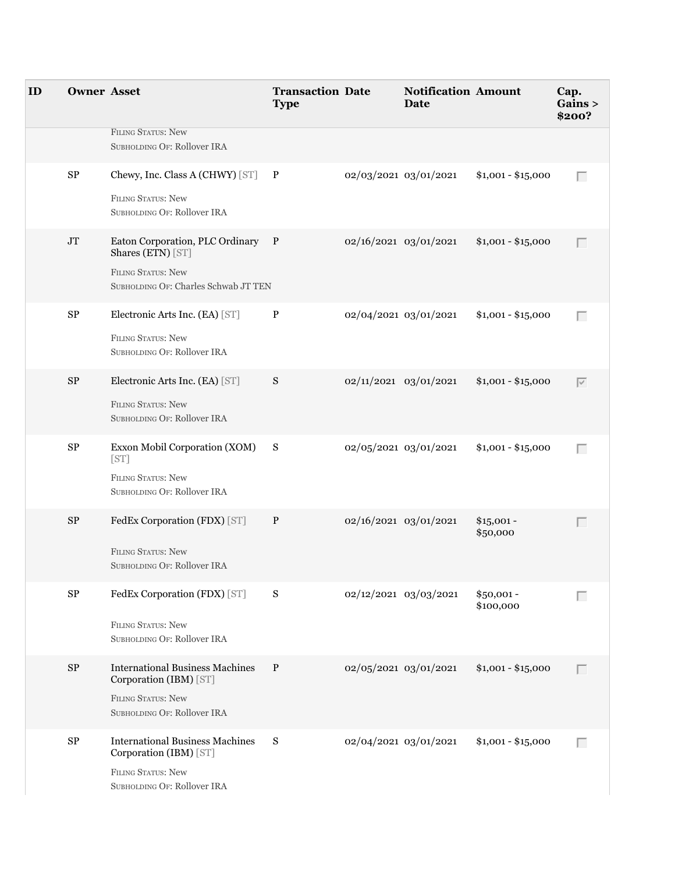| ID | <b>Owner Asset</b> |                                                                                                                              | <b>Transaction Date</b><br><b>Type</b> |                       | <b>Notification Amount</b><br>Date |                          | Cap.<br>Gains ><br>\$200? |
|----|--------------------|------------------------------------------------------------------------------------------------------------------------------|----------------------------------------|-----------------------|------------------------------------|--------------------------|---------------------------|
|    |                    | <b>FILING STATUS: New</b><br>SUBHOLDING OF: Rollover IRA                                                                     |                                        |                       |                                    |                          |                           |
|    | $\rm SP$           | Chewy, Inc. Class A (CHWY) [ST] P<br><b>FILING STATUS: New</b><br>SUBHOLDING OF: Rollover IRA                                |                                        | 02/03/2021 03/01/2021 |                                    | $$1,001 - $15,000$       | Г                         |
|    | $\rm JT$           | Eaton Corporation, PLC Ordinary P<br>Shares (ETN) [ST]<br><b>FILING STATUS: New</b><br>SUBHOLDING OF: Charles Schwab JT TEN  |                                        | 02/16/2021 03/01/2021 |                                    | $$1,001 - $15,000$       | Г                         |
|    | ${\rm SP}$         | Electronic Arts Inc. (EA) [ST]<br><b>FILING STATUS: New</b><br>SUBHOLDING OF: Rollover IRA                                   | P                                      | 02/04/2021 03/01/2021 |                                    | $$1,001 - $15,000$       | Г                         |
|    | ${\rm SP}$         | Electronic Arts Inc. (EA) [ST]<br><b>FILING STATUS: New</b><br>SUBHOLDING OF: Rollover IRA                                   | S                                      | 02/11/2021 03/01/2021 |                                    | $$1,001 - $15,000$       | $\overline{\vee}$         |
|    | SP                 | Exxon Mobil Corporation (XOM)<br>[ST]<br><b>FILING STATUS: New</b><br>SUBHOLDING OF: Rollover IRA                            | S                                      | 02/05/2021 03/01/2021 |                                    | $$1,001 - $15,000$       | Г                         |
|    | $\rm SP$           | FedEx Corporation (FDX) [ST]<br><b>FILING STATUS: New</b><br>SUBHOLDING OF: Rollover IRA                                     | $\mathbf{P}$                           | 02/16/2021 03/01/2021 |                                    | $$15,001 -$<br>\$50,000  | Г                         |
|    | $\rm SP$           | FedEx Corporation (FDX) [ST]<br><b>FILING STATUS: New</b><br>SUBHOLDING OF: Rollover IRA                                     | S                                      |                       | 02/12/2021 03/03/2021              | $$50,001 -$<br>\$100,000 | Г                         |
|    | $\rm SP$           | <b>International Business Machines</b><br>Corporation (IBM) [ST]<br><b>FILING STATUS: New</b><br>SUBHOLDING OF: Rollover IRA | $\, {\bf P}$                           |                       | 02/05/2021 03/01/2021              | $$1,001 - $15,000$       | Г                         |
|    | ${\rm SP}$         | <b>International Business Machines</b><br>Corporation (IBM) [ST]<br><b>FILING STATUS: New</b><br>SUBHOLDING OF: Rollover IRA | S                                      | 02/04/2021 03/01/2021 |                                    | $$1,001 - $15,000$       | Г                         |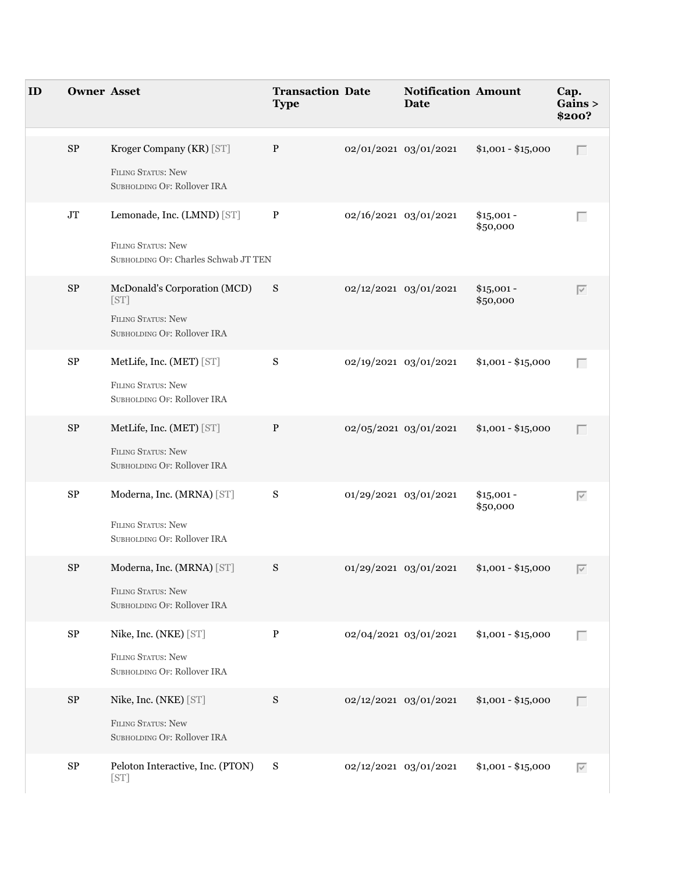| ID | <b>Owner Asset</b> |                                                                   | <b>Transaction Date</b><br><b>Type</b> |                       | <b>Notification Amount</b><br>Date |                         | Cap. | Gains ><br>\$200? |
|----|--------------------|-------------------------------------------------------------------|----------------------------------------|-----------------------|------------------------------------|-------------------------|------|-------------------|
|    | ${\rm SP}$         | Kroger Company (KR) [ST]                                          | $\mathbf P$                            | 02/01/2021 03/01/2021 |                                    | $$1,001 - $15,000$      |      | Г                 |
|    |                    | <b>FILING STATUS: New</b><br>SUBHOLDING OF: Rollover IRA          |                                        |                       |                                    |                         |      |                   |
|    | $\rm JT$           | Lemonade, Inc. (LMND) [ST]                                        | P                                      | 02/16/2021 03/01/2021 |                                    | $$15,001 -$<br>\$50,000 |      | Г                 |
|    |                    | <b>FILING STATUS: New</b><br>SUBHOLDING OF: Charles Schwab JT TEN |                                        |                       |                                    |                         |      |                   |
|    | ${\rm SP}$         | McDonald's Corporation (MCD)<br>[ST]                              | S                                      | 02/12/2021 03/01/2021 |                                    | $$15,001 -$<br>\$50,000 |      | $\overline{\vee}$ |
|    |                    | <b>FILING STATUS: New</b><br>SUBHOLDING OF: Rollover IRA          |                                        |                       |                                    |                         |      |                   |
|    | ${\rm SP}$         | MetLife, Inc. (MET) [ST]                                          | S                                      | 02/19/2021 03/01/2021 |                                    | $$1,001 - $15,000$      |      | Г                 |
|    |                    | <b>FILING STATUS: New</b><br>SUBHOLDING OF: Rollover IRA          |                                        |                       |                                    |                         |      |                   |
|    | $\rm SP$           | MetLife, Inc. (MET) [ST]                                          | $\mathbf{P}$                           |                       | 02/05/2021 03/01/2021              | $$1,001 - $15,000$      |      | Г                 |
|    |                    | <b>FILING STATUS: New</b><br>SUBHOLDING OF: Rollover IRA          |                                        |                       |                                    |                         |      |                   |
|    | ${\rm SP}$         | Moderna, Inc. (MRNA) [ST]                                         | S                                      | 01/29/2021 03/01/2021 |                                    | $$15,001 -$<br>\$50,000 |      | $\overline{\vee}$ |
|    |                    | <b>FILING STATUS: New</b><br>SUBHOLDING OF: Rollover IRA          |                                        |                       |                                    |                         |      |                   |
|    | ${\rm SP}$         | Moderna, Inc. (MRNA) [ST]                                         | ${\bf S}$                              | 01/29/2021 03/01/2021 |                                    | $$1,001 - $15,000$      |      | $\overline{\vee}$ |
|    |                    | <b>FILING STATUS: New</b><br>SUBHOLDING OF: Rollover IRA          |                                        |                       |                                    |                         |      |                   |
|    | ${\rm SP}$         | Nike, Inc. (NKE) [ST]                                             | ${\bf P}$                              | 02/04/2021 03/01/2021 |                                    | $$1,001 - $15,000$      |      | Г                 |
|    |                    | <b>FILING STATUS: New</b><br>SUBHOLDING OF: Rollover IRA          |                                        |                       |                                    |                         |      |                   |
|    | $\rm SP$           | Nike, Inc. (NKE) [ST]                                             | ${\bf S}$                              | 02/12/2021 03/01/2021 |                                    | $$1,001 - $15,000$      |      | Г                 |
|    |                    | FILING STATUS: New<br>SUBHOLDING OF: Rollover IRA                 |                                        |                       |                                    |                         |      |                   |
|    | ${\rm SP}$         | Peloton Interactive, Inc. (PTON)<br>[ST]                          | ${\bf S}$                              | 02/12/2021 03/01/2021 |                                    | $$1,001 - $15,000$      |      | $\overline{\vee}$ |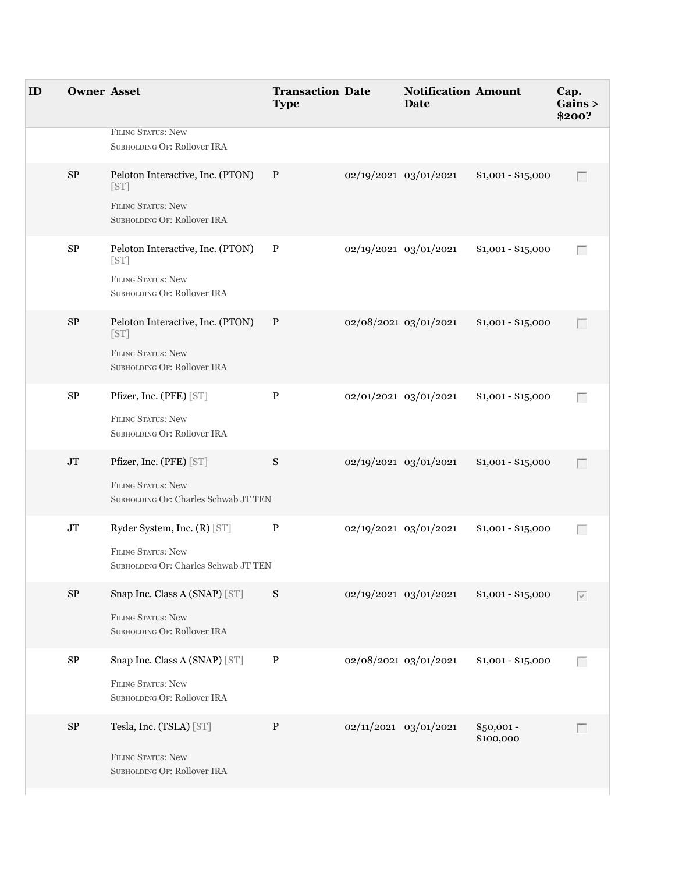| ID | <b>Owner Asset</b> |                                                                                                      | <b>Transaction Date</b><br><b>Type</b> |                       | <b>Notification Amount</b><br>Date |                          | Cap.<br>Gains ><br>\$200? |
|----|--------------------|------------------------------------------------------------------------------------------------------|----------------------------------------|-----------------------|------------------------------------|--------------------------|---------------------------|
|    |                    | <b>FILING STATUS: New</b><br>SUBHOLDING OF: Rollover IRA                                             |                                        |                       |                                    |                          |                           |
|    | $\rm SP$           | Peloton Interactive, Inc. (PTON)<br>[ST]<br><b>FILING STATUS: New</b><br>SUBHOLDING OF: Rollover IRA | $\mathbf{P}$                           | 02/19/2021 03/01/2021 |                                    | $$1,001 - $15,000$       | Г                         |
|    | ${\rm SP}$         | Peloton Interactive, Inc. (PTON)<br>[ST]<br><b>FILING STATUS: New</b><br>SUBHOLDING OF: Rollover IRA | $\mathbf{P}$                           | 02/19/2021 03/01/2021 |                                    | $$1,001 - $15,000$       | $\Box$                    |
|    | $\rm SP$           | Peloton Interactive, Inc. (PTON)<br>[ST]<br><b>FILING STATUS: New</b><br>SUBHOLDING OF: Rollover IRA | $\mathbf{P}$                           | 02/08/2021 03/01/2021 |                                    | $$1,001 - $15,000$       | Г                         |
|    | ${\rm SP}$         | Pfizer, Inc. (PFE) [ST]<br><b>FILING STATUS: New</b><br>SUBHOLDING OF: Rollover IRA                  | $\, {\bf P}$                           |                       | 02/01/2021 03/01/2021              | $$1,001 - $15,000$       | Г                         |
|    | $\rm JT$           | Pfizer, Inc. (PFE) [ST]<br><b>FILING STATUS: New</b><br>SUBHOLDING OF: Charles Schwab JT TEN         | ${\bf S}$                              | 02/19/2021 03/01/2021 |                                    | $$1,001 - $15,000$       | $\Box$                    |
|    | $\rm JT$           | Ryder System, Inc. (R) [ST]<br><b>FILING STATUS: New</b><br>SUBHOLDING OF: Charles Schwab JT TEN     | $\, {\bf P}$                           | 02/19/2021 03/01/2021 |                                    | $$1,001 - $15,000$       | Г                         |
|    | $\rm SP$           | Snap Inc. Class A (SNAP) [ST]<br>FILING STATUS: New<br>SUBHOLDING OF: Rollover IRA                   | S                                      | 02/19/2021 03/01/2021 |                                    | $$1,001 - $15,000$       | $\overline{\vee}$         |
|    | ${\rm SP}$         | Snap Inc. Class A (SNAP) [ST]<br><b>FILING STATUS: New</b><br>SUBHOLDING OF: Rollover IRA            | $\, {\bf P}$                           | 02/08/2021 03/01/2021 |                                    | $$1,001 - $15,000$       | Г                         |
|    | $\rm SP$           | Tesla, Inc. (TSLA) [ST]<br><b>FILING STATUS: New</b><br>SUBHOLDING OF: Rollover IRA                  | ${\bf P}$                              | 02/11/2021 03/01/2021 |                                    | $$50,001 -$<br>\$100,000 | Г                         |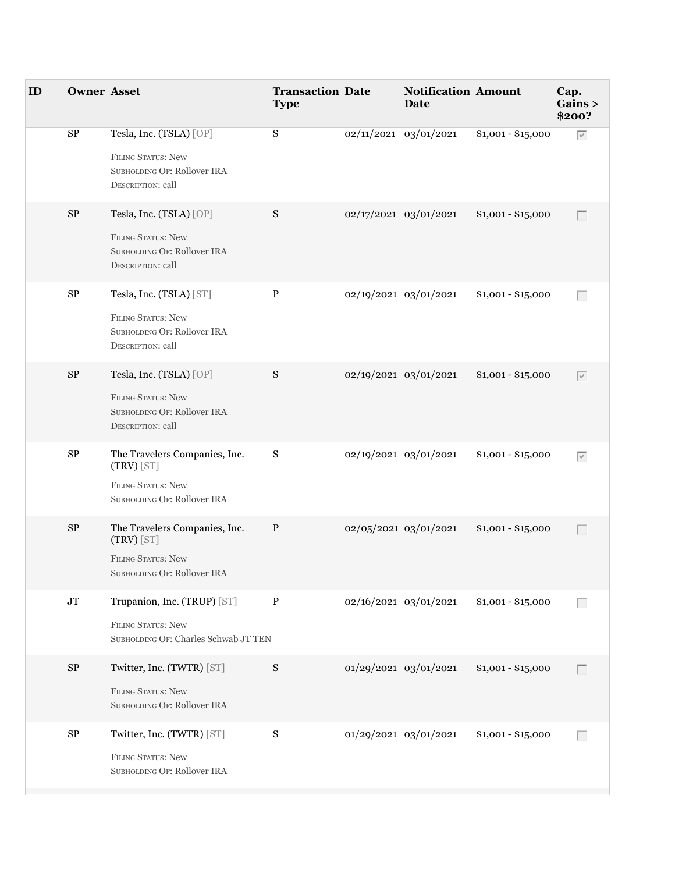| ID | <b>Owner Asset</b> |                                                                                                           | <b>Transaction Date</b><br><b>Type</b> | <b>Notification Amount</b><br><b>Date</b> |                    | Cap.<br>Gains ><br>\$200? |
|----|--------------------|-----------------------------------------------------------------------------------------------------------|----------------------------------------|-------------------------------------------|--------------------|---------------------------|
|    | ${\rm SP}$         | Tesla, Inc. (TSLA) [OP]<br>FILING STATUS: New<br>SUBHOLDING OF: Rollover IRA<br><b>DESCRIPTION: call</b>  | S                                      | 02/11/2021 03/01/2021                     | $$1,001 - $15,000$ | $\overline{\vee}$         |
|    | $\rm SP$           | Tesla, Inc. (TSLA) [OP]<br>FILING STATUS: New<br>SUBHOLDING OF: Rollover IRA<br>DESCRIPTION: call         | S                                      | 02/17/2021 03/01/2021                     | $$1,001 - $15,000$ | Г                         |
|    | ${\rm SP}$         | Tesla, Inc. (TSLA) [ST]<br>FILING STATUS: New<br>SUBHOLDING OF: Rollover IRA<br><b>DESCRIPTION: call</b>  | $\, {\bf P}$                           | 02/19/2021 03/01/2021                     | $$1,001 - $15,000$ | $\Box$                    |
|    | $\rm SP$           | Tesla, Inc. (TSLA) [OP]<br>FILING STATUS: New<br>SUBHOLDING OF: Rollover IRA<br>DESCRIPTION: call         | S                                      | 02/19/2021 03/01/2021                     | $$1,001 - $15,000$ | $\overline{\vee}$         |
|    | ${\rm SP}$         | The Travelers Companies, Inc.<br>$(TRV)$ [ST]<br><b>FILING STATUS: New</b><br>SUBHOLDING OF: Rollover IRA | S                                      | 02/19/2021 03/01/2021                     | $$1,001 - $15,000$ | $\overline{\vee}$         |
|    | $\mbox{SP}$        | The Travelers Companies, Inc.<br>(TRV) [ST]<br>FILING STATUS: New<br>SUBHOLDING OF: Rollover IRA          | $\, {\bf P}$                           | 02/05/2021 03/01/2021                     | $$1,001 - $15,000$ | Г                         |
|    | $\rm JT$           | Trupanion, Inc. (TRUP) [ST]<br>FILING STATUS: New<br>SUBHOLDING OF: Charles Schwab JT TEN                 | $\, {\bf P}$                           | 02/16/2021 03/01/2021                     | $$1,001 - $15,000$ | Г                         |
|    | $\rm SP$           | Twitter, Inc. (TWTR) [ST]<br><b>FILING STATUS: New</b><br>SUBHOLDING OF: Rollover IRA                     | S                                      | 01/29/2021 03/01/2021                     | $$1,001 - $15,000$ | Г                         |
|    | ${\rm SP}$         | Twitter, Inc. (TWTR) [ST]<br>FILING STATUS: New<br>SUBHOLDING OF: Rollover IRA                            | ${\bf S}$                              | 01/29/2021 03/01/2021                     | $$1,001 - $15,000$ | Г                         |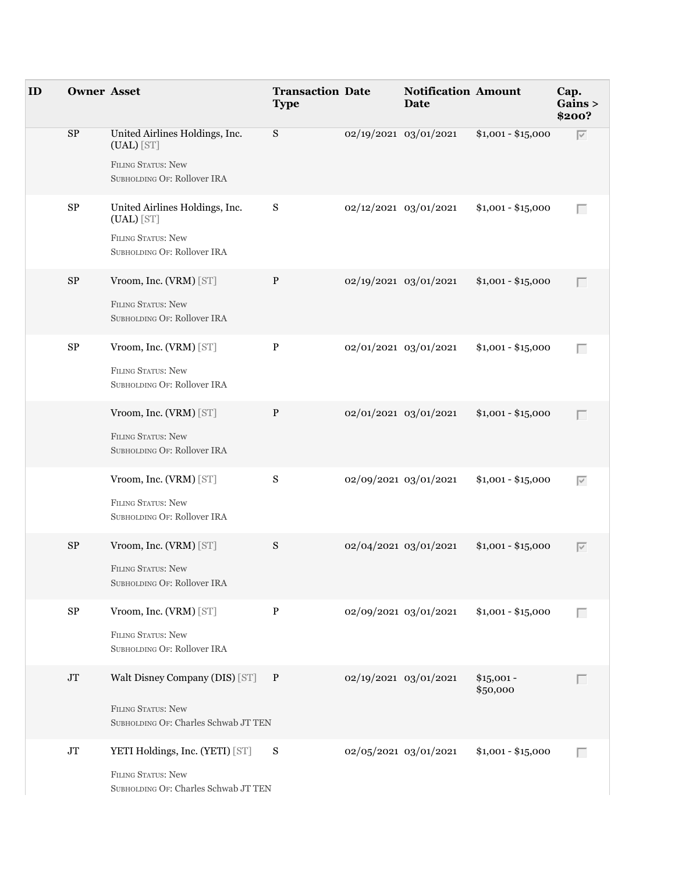| ID | <b>Owner Asset</b> |                                                                                                            | <b>Transaction Date</b><br><b>Type</b> |                       | <b>Notification Amount</b><br><b>Date</b> |                         | Cap.<br>Gains ><br>\$200? |                   |
|----|--------------------|------------------------------------------------------------------------------------------------------------|----------------------------------------|-----------------------|-------------------------------------------|-------------------------|---------------------------|-------------------|
|    | $\rm SP$           | United Airlines Holdings, Inc.<br>(UAL) [ST]<br><b>FILING STATUS: New</b><br>SUBHOLDING OF: Rollover IRA   | S                                      | 02/19/2021 03/01/2021 |                                           | $$1,001 - $15,000$      | $\overline{\vee}$         |                   |
|    | $\mbox{SP}$        | United Airlines Holdings, Inc.<br>$(UAL)$ [ST]<br><b>FILING STATUS: New</b><br>SUBHOLDING OF: Rollover IRA | S                                      |                       | 02/12/2021 03/01/2021                     | $$1,001 - $15,000$      | $\Box$                    |                   |
|    | $\rm SP$           | Vroom, Inc. (VRM) [ST]<br>FILING STATUS: New<br>SUBHOLDING OF: Rollover IRA                                | $\, {\bf P}$                           | 02/19/2021 03/01/2021 |                                           | $$1,001 - $15,000$      | П                         |                   |
|    | ${\rm SP}$         | Vroom, Inc. (VRM) [ST]<br><b>FILING STATUS: New</b><br>SUBHOLDING OF: Rollover IRA                         | $\, {\bf P}$                           | 02/01/2021 03/01/2021 |                                           | $$1,001 - $15,000$      |                           | Г                 |
|    |                    | Vroom, Inc. (VRM) [ST]<br>FILING STATUS: New<br>SUBHOLDING OF: Rollover IRA                                | $\, {\bf P}$                           | 02/01/2021 03/01/2021 |                                           | $$1,001 - $15,000$      | П                         |                   |
|    |                    | Vroom, Inc. (VRM) [ST]<br>FILING STATUS: New<br>SUBHOLDING OF: Rollover IRA                                | ${\bf S}$                              | 02/09/2021 03/01/2021 |                                           | $$1,001 - $15,000$      |                           | $\overline{\vee}$ |
|    | $\rm SP$           | Vroom, Inc. (VRM) [ST]<br><b>FILING STATUS: New</b><br>SUBHOLDING OF: Rollover IRA                         | S                                      | 02/04/2021 03/01/2021 |                                           | $$1,001 - $15,000$      | $\overline{\vee}$         |                   |
|    | ${\rm SP}$         | Vroom, Inc. (VRM) [ST]<br><b>FILING STATUS: New</b><br>SUBHOLDING OF: Rollover IRA                         | $\, {\bf P}$                           |                       | 02/09/2021 03/01/2021                     | $$1,001 - $15,000$      |                           | Г                 |
|    | $\rm JT$           | Walt Disney Company (DIS) [ST] P<br>FILING STATUS: New<br>SUBHOLDING OF: Charles Schwab JT TEN             |                                        |                       | 02/19/2021 03/01/2021                     | $$15,001 -$<br>\$50,000 |                           |                   |
|    | $\rm JT$           | YETI Holdings, Inc. (YETI) [ST]<br>FILING STATUS: New<br>SUBHOLDING OF: Charles Schwab JT TEN              | S                                      | 02/05/2021 03/01/2021 |                                           | $$1,001 - $15,000$      |                           | Г                 |